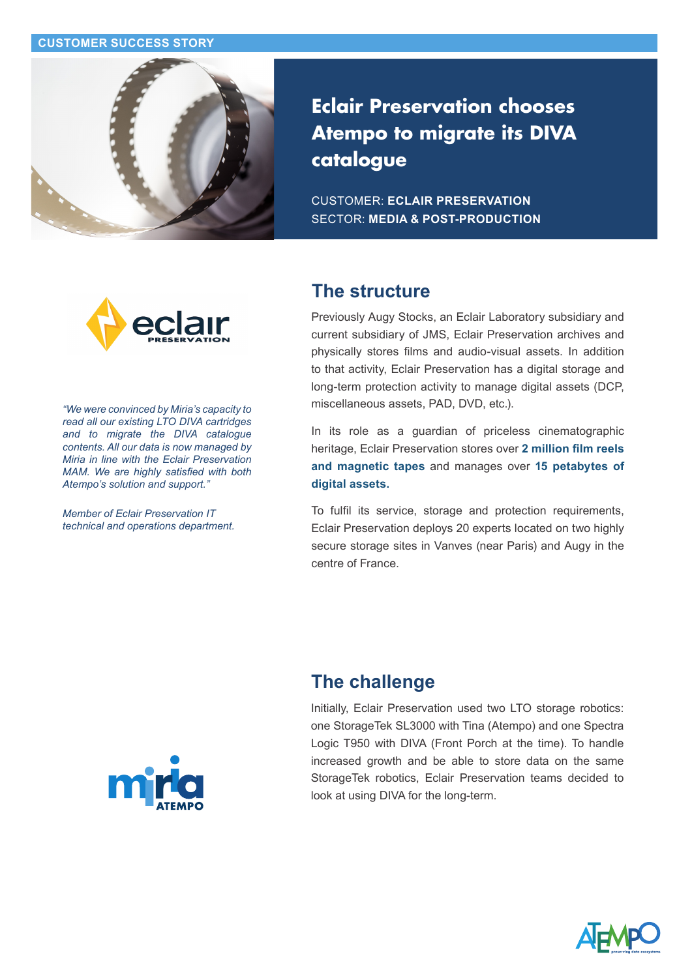#### **CUSTOMER SUCCESS STORY**



**Eclair Preservation chooses Atempo to migrate its DIVA catalogue**

CUSTOMER: **ECLAIR PRESERVATION** SECTOR: **MEDIA & POST-PRODUCTION**



*"We were convinced by Miria's capacity to read all our existing LTO DIVA cartridges and to migrate the DIVA catalogue contents. All our data is now managed by Miria in line with the Eclair Preservation MAM. We are highly satisfied with both Atempo's solution and support."* 

*Member of Eclair Preservation IT technical and operations department.*

## **The structure**

Previously Augy Stocks, an Eclair Laboratory subsidiary and current subsidiary of JMS, Eclair Preservation archives and physically stores films and audio-visual assets. In addition to that activity, Eclair Preservation has a digital storage and long-term protection activity to manage digital assets (DCP, miscellaneous assets, PAD, DVD, etc.).

In its role as a guardian of priceless cinematographic heritage, Eclair Preservation stores over **2 million film reels and magnetic tapes** and manages over **15 petabytes of digital assets.**

To fulfil its service, storage and protection requirements, Eclair Preservation deploys 20 experts located on two highly secure storage sites in Vanves (near Paris) and Augy in the centre of France.

## **The challenge**

Initially, Eclair Preservation used two LTO storage robotics: one StorageTek SL3000 with Tina (Atempo) and one Spectra Logic T950 with DIVA (Front Porch at the time). To handle increased growth and be able to store data on the same StorageTek robotics, Eclair Preservation teams decided to look at using DIVA for the long-term.